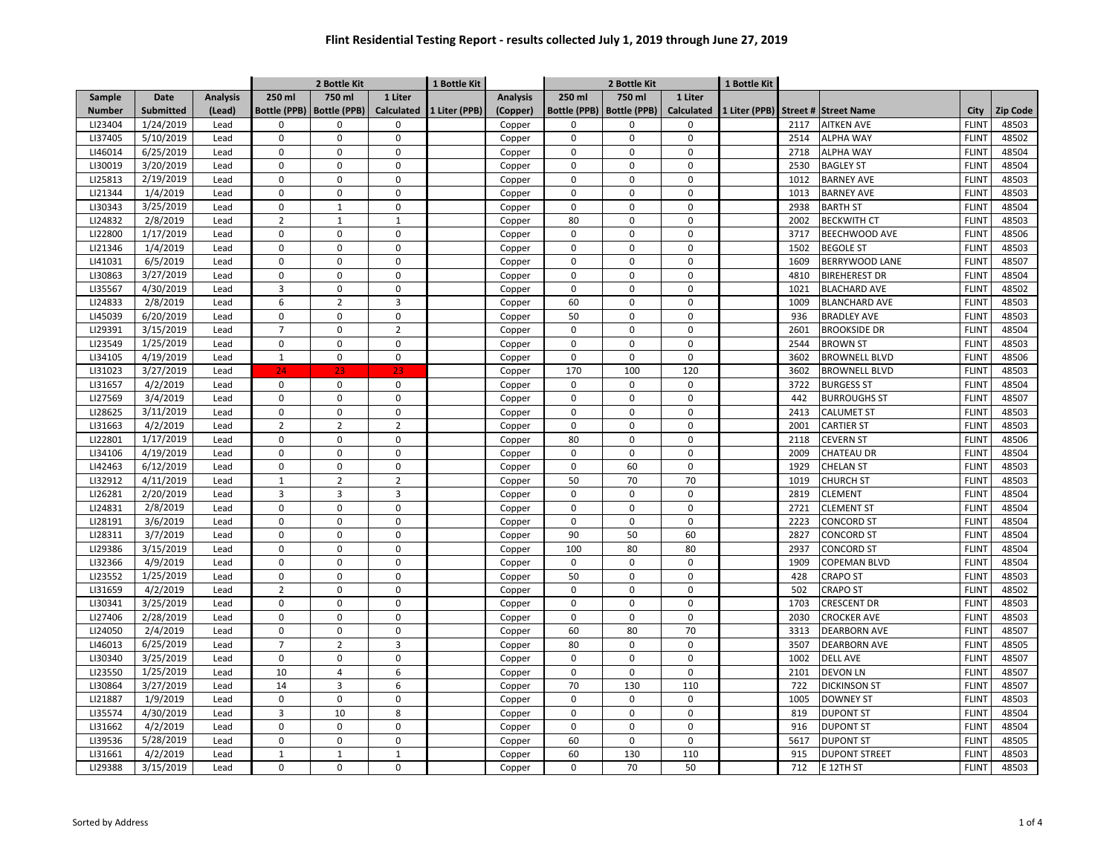|                    |                      |                 |                     | 2 Bottle Kit        |                   | 1 Bottle Kit  |                 |                     | 2 Bottle Kit        |                   |               |              |                      |              |                |
|--------------------|----------------------|-----------------|---------------------|---------------------|-------------------|---------------|-----------------|---------------------|---------------------|-------------------|---------------|--------------|----------------------|--------------|----------------|
| Sample             | <b>Date</b>          | <b>Analysis</b> | 250 ml              | 750 ml              | 1 Liter           |               | <b>Analysis</b> | 250 ml              | 750 ml              | 1 Liter           |               |              |                      |              |                |
| <b>Number</b>      | Submitted            | (Lead)          | <b>Bottle (PPB)</b> | <b>Bottle (PPB)</b> | <b>Calculated</b> | 1 Liter (PPB) | (Copper)        | <b>Bottle (PPB)</b> | <b>Bottle (PPB)</b> | <b>Calculated</b> | 1 Liter (PPB) |              | Street # Street Name | City         | Zip Code       |
| LI23404            | 1/24/2019            | Lead            | 0                   | $\mathsf 0$         | $\mathbf 0$       |               | Copper          | 0                   | 0                   | $\mathbf 0$       |               | 2117         | <b>AITKEN AVE</b>    | <b>FLINT</b> | 48503          |
| LI37405            | 5/10/2019            | Lead            | 0                   | $\mathbf 0$         | $\pmb{0}$         |               | Copper          | $\mathbf 0$         | 0                   | $\mathbf 0$       |               | 2514         | <b>ALPHA WAY</b>     | <b>FLINT</b> | 48502          |
| LI46014            | 6/25/2019            | Lead            | 0                   | $\mathsf 0$         | $\mathbf 0$       |               | Copper          | 0                   | $\mathbf 0$         | $\Omega$          |               | 2718         | <b>ALPHA WAY</b>     | <b>FLINT</b> | 48504          |
| LI30019            | 3/20/2019            | Lead            | 0                   | $\mathbf 0$         | $\mathbf 0$       |               | Copper          | 0                   | $\Omega$            | $\Omega$          |               | 2530         | <b>BAGLEY ST</b>     | <b>FLINT</b> | 48504          |
| LI25813            | 2/19/2019            | Lead            | $\mathbf 0$         | $\Omega$            | $\mathbf{0}$      |               | Copper          | 0                   | $\Omega$            | $\Omega$          |               | 1012         | <b>BARNEY AVE</b>    | <b>FLINT</b> | 48503          |
| LI21344            | 1/4/2019             | Lead            | $\Omega$            | $\mathbf 0$         | $\mathbf{0}$      |               | Copper          | $\Omega$            | $\Omega$            | $\Omega$          |               | 1013         | <b>BARNEY AVE</b>    | <b>FLINT</b> | 48503          |
| LI30343            | 3/25/2019            | Lead            | $\Omega$            | $\mathbf{1}$        | $\mathbf{0}$      |               | Copper          | $\Omega$            | $\mathbf 0$         | $\Omega$          |               | 2938         | <b>BARTH ST</b>      | <b>FLINT</b> | 48504          |
| LI24832            | 2/8/2019             | Lead            | $\overline{2}$      | $\mathbf{1}$        | $\mathbf{1}$      |               | Copper          | 80                  | $\mathbf 0$         | $\Omega$          |               | 2002         | <b>BECKWITH CT</b>   | <b>FLINT</b> | 48503          |
| LI22800            | 1/17/2019            | Lead            | $\Omega$            | $\pmb{0}$           | $\Omega$          |               | Copper          | 0                   | $\Omega$            | $\Omega$          |               | 3717         | <b>BEECHWOOD AVE</b> | <b>FLINT</b> | 48506          |
| LI21346            | 1/4/2019             | Lead            | $\mathbf 0$         | 0                   | $\mathbf 0$       |               | Copper          | 0                   | $\mathbf 0$         | $\Omega$          |               | 1502         | <b>BEGOLE ST</b>     | <b>FLINT</b> | 48503          |
| LI41031            | 6/5/2019             | Lead            | $\Omega$            | $\Omega$            | $\mathbf 0$       |               | Copper          | 0                   | 0                   | $\Omega$          |               | 1609         | BERRYWOOD LANE       | <b>FLINT</b> | 48507          |
| LI30863            | 3/27/2019            | Lead            | 0                   | 0                   | $\mathbf 0$       |               | Copper          | 0                   | 0                   | $\Omega$          |               | 4810         | <b>BIREHEREST DR</b> | <b>FLINT</b> | 48504          |
| LI35567            | 4/30/2019            | Lead            | 3                   | $\mathbf 0$         | $\mathbf{0}$      |               | Copper          | $\mathbf 0$         | $\Omega$            | $\Omega$          |               | 1021         | <b>BLACHARD AVE</b>  | <b>FLINT</b> | 48502          |
| LI24833            | 2/8/2019             | Lead            | 6                   | $\overline{2}$      | $\overline{3}$    |               | Copper          | 60                  | $\mathbf 0$         | $\mathbf 0$       |               | 1009         | <b>BLANCHARD AVE</b> | <b>FLINT</b> | 48503          |
| LI45039            | 6/20/2019            | Lead            | 0                   | $\pmb{0}$           | $\pmb{0}$         |               | Copper          | 50                  | $\mathbf 0$         | $\mathbf 0$       |               | 936          | <b>BRADLEY AVE</b>   | <b>FLINT</b> | 48503          |
| LI29391            | 3/15/2019            | Lead            | $\overline{7}$      | $\pmb{0}$           | $\overline{2}$    |               | Copper          | $\mathbf 0$         | $\mathbf 0$         | $\mathbf 0$       |               | 2601         | <b>BROOKSIDE DR</b>  | <b>FLINT</b> | 48504          |
| LI23549            | 1/25/2019            | Lead            | 0                   | $\mathbf 0$         | $\mathbf 0$       |               | Copper          | $\mathbf 0$         | $\mathbf 0$         | $\mathbf 0$       |               | 2544         | <b>BROWN ST</b>      | <b>FLINT</b> | 48503          |
| LI34105            | 4/19/2019            | Lead            | $\mathbf 1$         | $\pmb{0}$           | $\pmb{0}$         |               | Copper          | $\mathsf 0$         | $\mathbf 0$         | $\mathbf 0$       |               | 3602         | <b>BROWNELL BLVD</b> | <b>FLINT</b> | 48506          |
| LI31023            | 3/27/2019            | Lead            | 24                  | 23                  | 23                |               | Copper          | 170                 | 100                 | 120               |               | 3602         | <b>BROWNELL BLVD</b> | <b>FLINT</b> | 48503          |
| LI31657            | 4/2/2019             | Lead            | $\mathbf 0$         | $\mathsf 0$         | $\mathbf 0$       |               | Copper          | $\mathbf 0$         | $\Omega$            | $\Omega$          |               | 3722         | <b>BURGESS ST</b>    | <b>FLINT</b> | 48504          |
| LI27569            | 3/4/2019             | Lead            | $\Omega$            | $\Omega$            | $\mathbf{0}$      |               | Copper          | $\Omega$            | $\mathbf 0$         | $\Omega$          |               | 442          | <b>BURROUGHS ST</b>  | <b>FLINT</b> | 48507          |
| LI28625            | 3/11/2019            | Lead            | $\mathbf 0$         | $\mathbf 0$         | $\mathbf{0}$      |               | Copper          | 0                   | $\mathbf 0$         | $\Omega$          |               | 2413         | <b>CALUMET ST</b>    | <b>FLINT</b> | 48503          |
| LI31663            | 4/2/2019             | Lead            | $\overline{2}$      | $\overline{2}$      | $\overline{2}$    |               | Copper          | $\mathbf 0$         | $\mathbf 0$         | $\Omega$          |               | 2001         | <b>CARTIER ST</b>    | <b>FLINT</b> | 48503          |
| LI22801            | 1/17/2019            | Lead            | $\Omega$            | $\pmb{0}$           | $\mathbf 0$       |               | Copper          | 80                  | $\Omega$            | $\Omega$          |               | 2118         | <b>CEVERN ST</b>     | <b>FLINT</b> | 48506          |
| LI34106            | 4/19/2019            | Lead            | $\mathbf 0$         | $\mathbf 0$         | $\mathbf{0}$      |               | Copper          | $\mathsf 0$         | $\mathbf 0$         | $\Omega$          |               | 2009         | <b>CHATEAU DR</b>    | <b>FLINT</b> | 48504          |
| LI42463            | 6/12/2019            | Lead            | 0                   | $\mathbf 0$         | $\mathbf{0}$      |               | Copper          | $\mathbf 0$         | 60                  | $\Omega$          |               | 1929         | <b>CHELAN ST</b>     | <b>FLINT</b> | 48503          |
| LI32912            |                      | Lead            | $\mathbf{1}$        | $\overline{2}$      | $\overline{2}$    |               |                 | 50                  | 70                  | 70                |               | 1019         | <b>CHURCH ST</b>     | <b>FLINT</b> |                |
|                    | 4/11/2019            | Lead            | $\overline{3}$      | 3                   | $\overline{3}$    |               | Copper          | $\mathbf 0$         | $\Omega$            | $\Omega$          |               | 2819         | <b>CLEMENT</b>       | <b>FLINT</b> | 48503          |
| LI26281<br>LI24831 | 2/20/2019            |                 | 0                   | $\pmb{0}$           | $\mathbf{0}$      |               | Copper          | $\mathbf 0$         | $\mathbf 0$         | $\mathbf 0$       |               |              |                      | <b>FLINT</b> | 48504<br>48504 |
| LI28191            | 2/8/2019<br>3/6/2019 | Lead<br>Lead    | 0                   | $\mathbf 0$         | $\mathbf 0$       |               | Copper          | $\mathbf 0$         | $\mathbf 0$         | $\mathbf 0$       |               | 2721<br>2223 | <b>CLEMENT ST</b>    | <b>FLINT</b> |                |
|                    |                      |                 |                     |                     |                   |               | Copper          |                     |                     |                   |               |              | <b>CONCORD ST</b>    |              | 48504          |
| LI28311            | 3/7/2019             | Lead            | 0                   | $\pmb{0}$           | $\mathbf 0$       |               | Copper          | 90                  | 50                  | 60                |               | 2827         | <b>CONCORD ST</b>    | <b>FLINT</b> | 48504          |
| LI29386            | 3/15/2019            | Lead            | 0                   | $\mathbf 0$         | $\mathbf 0$       |               | Copper          | 100                 | 80                  | 80                |               | 2937         | <b>CONCORD ST</b>    | <b>FLINT</b> | 48504          |
| LI32366            | 4/9/2019             | Lead            | 0                   | $\pmb{0}$           | $\mathbf 0$       |               | Copper          | $\mathsf 0$         | $\mathbf 0$         | $\mathbf 0$       |               | 1909         | <b>COPEMAN BLVD</b>  | <b>FLINT</b> | 48504          |
| LI23552            | 1/25/2019            | Lead            | 0                   | $\Omega$            | $\mathbf 0$       |               | Copper          | 50                  | $\mathbf 0$         | $\Omega$          |               | 428          | <b>CRAPO ST</b>      | <b>FLINT</b> | 48503          |
| LI31659            | 4/2/2019             | Lead            | $\overline{2}$      | $\mathbf 0$         | $\mathbf{0}$      |               | Copper          | $\mathbf 0$         | $\mathbf 0$         | $\Omega$          |               | 502          | <b>CRAPO ST</b>      | <b>FLINT</b> | 48502          |
| LI30341            | 3/25/2019            | Lead            | $\Omega$            | $\Omega$            | $\mathbf 0$       |               | Copper          | $\Omega$            | $\mathbf 0$         | $\Omega$          |               | 1703         | <b>CRESCENT DR</b>   | <b>FLINT</b> | 48503          |
| LI27406            | 2/28/2019            | Lead            | $\Omega$            | $\Omega$            | $\Omega$          |               | Copper          | $\Omega$            | $\Omega$            | $\Omega$          |               | 2030         | <b>CROCKER AVE</b>   | <b>FLINT</b> | 48503          |
| LI24050            | 2/4/2019             | Lead            | $\mathbf 0$         | $\Omega$            | $\mathbf 0$       |               | Copper          | 60                  | 80                  | 70                |               | 3313         | <b>DEARBORN AVE</b>  | <b>FLINT</b> | 48507          |
| LI46013            | 6/25/2019            | Lead            | $\overline{7}$      | $\overline{2}$      | $\overline{3}$    |               | Copper          | 80                  | $\Omega$            | $\Omega$          |               | 3507         | <b>DEARBORN AVE</b>  | <b>FLINT</b> | 48505          |
| LI30340            | 3/25/2019            | Lead            | $\mathbf 0$         | $\mathbf 0$         | $\mathbf 0$       |               | Copper          | $\mathsf 0$         | $\mathbf 0$         | $\Omega$          |               | 1002         | <b>DELL AVE</b>      | <b>FLINT</b> | 48507          |
| LI23550            | 1/25/2019            | Lead            | 10                  | $\overline{4}$      | 6                 |               | Copper          | $\mathbf 0$         | $\mathbf 0$         | $\Omega$          |               | 2101         | <b>DEVON LN</b>      | <b>FLINT</b> | 48507          |
| LI30864            | 3/27/2019            | Lead            | 14                  | 3                   | 6                 |               | Copper          | 70                  | 130                 | 110               |               | 722          | <b>DICKINSON ST</b>  | <b>FLINT</b> | 48507          |
| LI21887            | 1/9/2019             | Lead            | 0                   | $\mathbf 0$         | $\mathbf{0}$      |               | Copper          | $\mathbf 0$         | $\Omega$            | $\Omega$          |               | 1005         | <b>DOWNEY ST</b>     | <b>FLINT</b> | 48503          |
| LI35574            | 4/30/2019            | Lead            | 3                   | 10                  | 8                 |               | Copper          | $\mathbf 0$         | $\mathbf 0$         | $\mathbf 0$       |               | 819          | <b>DUPONT ST</b>     | <b>FLINT</b> | 48504          |
| LI31662            | 4/2/2019             | Lead            | 0                   | $\mathbf 0$         | $\mathbf 0$       |               | Copper          | $\mathbf 0$         | $\mathbf 0$         | $\Omega$          |               | 916          | <b>DUPONT ST</b>     | <b>FLINT</b> | 48504          |
| LI39536            | 5/28/2019            | Lead            | 0                   | $\mathsf 0$         | $\mathbf 0$       |               | Copper          | 60                  | $\mathbf 0$         | $\mathbf 0$       |               | 5617         | <b>DUPONT ST</b>     | <b>FLINT</b> | 48505          |
| LI31661            | 4/2/2019             | Lead            | $\mathbf{1}$        | $\mathbf 1$         | $\mathbf{1}$      |               | Copper          | 60                  | 130                 | 110               |               | 915          | <b>DUPONT STREET</b> | <b>FLINT</b> | 48503          |
| LI29388            | 3/15/2019            | Lead            | 0                   | $\mathbf 0$         | $\mathbf 0$       |               | Copper          | 0                   | 70                  | 50                |               | 712          | E 12TH ST            | <b>FLINT</b> | 48503          |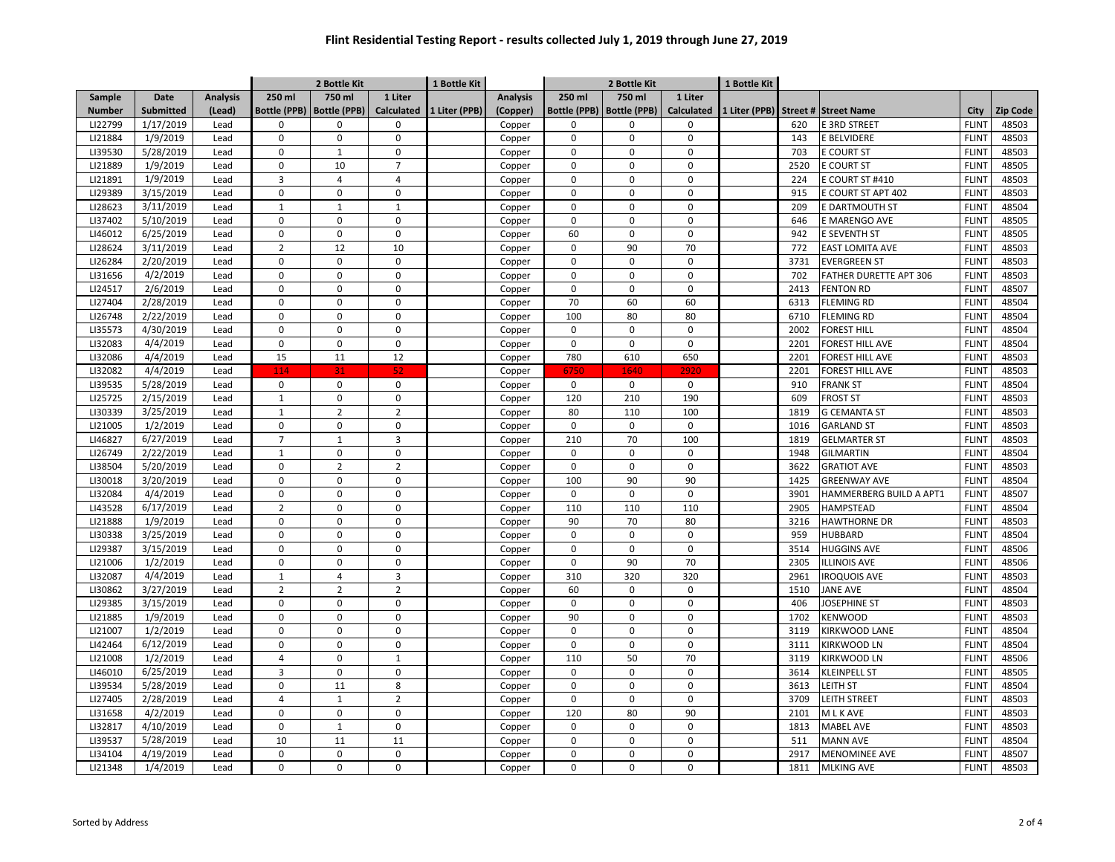|               |                  |                 | 2 Bottle Kit        |                     |                   | 1 Bottle Kit  |                 |                     | 2 Bottle Kit        |                   |               |          |                               |              |          |
|---------------|------------------|-----------------|---------------------|---------------------|-------------------|---------------|-----------------|---------------------|---------------------|-------------------|---------------|----------|-------------------------------|--------------|----------|
| Sample        | Date             | <b>Analysis</b> | 250 ml              | 750 ml              | 1 Liter           |               | <b>Analysis</b> | 250 ml              | 750 ml              | 1 Liter           |               |          |                               |              |          |
| <b>Number</b> | <b>Submitted</b> | (Lead)          | <b>Bottle (PPB)</b> | <b>Bottle (PPB)</b> | <b>Calculated</b> | 1 Liter (PPB) | (Copper)        | <b>Bottle (PPB)</b> | <b>Bottle (PPB)</b> | <b>Calculated</b> | 1 Liter (PPB) | Street # | <b>Street Name</b>            | City         | Zip Code |
| LI22799       | 1/17/2019        | Lead            | $\mathbf 0$         | $\Omega$            | $\mathbf 0$       |               | Copper          | 0                   | $\mathbf 0$         | $\mathbf 0$       |               | 620      | E 3RD STREET                  | <b>FLINT</b> | 48503    |
| LI21884       | 1/9/2019         | Lead            | $\mathbf 0$         | $\pmb{0}$           | $\mathbf 0$       |               | Copper          | $\mathbf 0$         | $\mathbf 0$         | $\mathbf 0$       |               | 143      | E BELVIDERE                   | <b>FLINT</b> | 48503    |
| LI39530       | 5/28/2019        | Lead            | $\pmb{0}$           | $\mathbf 1$         | $\pmb{0}$         |               | Copper          | $\mathsf 0$         | $\mathbf 0$         | $\mathbf 0$       |               | 703      | <b>E COURT ST</b>             | <b>FLINT</b> | 48503    |
| LI21889       | 1/9/2019         | Lead            | $\Omega$            | 10                  | $\overline{7}$    |               | Copper          | $\mathbf 0$         | $\Omega$            | $\Omega$          |               | 2520     | <b>COURT ST</b>               | <b>FLINT</b> | 48505    |
| LI21891       | 1/9/2019         | Lead            | 3                   | $\overline{4}$      | $\overline{4}$    |               | Copper          | $\mathbf 0$         | $\Omega$            | $\Omega$          |               | 224      | COURT ST #410                 | <b>FLINT</b> | 48503    |
| LI29389       | 3/15/2019        | Lead            | $\Omega$            | $\Omega$            | $\mathbf 0$       |               | Copper          | $\mathbf 0$         | <sup>0</sup>        | $\Omega$          |               | 915      | COURT ST APT 402              | <b>FLINT</b> | 48503    |
| LI28623       | 3/11/2019        | Lead            | $\mathbf{1}$        | $\mathbf 1$         | $\mathbf{1}$      |               | Copper          | $\mathbf 0$         | $\mathbf 0$         | $\Omega$          |               | 209      | <b>DARTMOUTH ST</b>           | <b>FLINT</b> | 48504    |
| LI37402       | 5/10/2019        | Lead            | $\mathbf 0$         | $\Omega$            | $\mathbf 0$       |               | Copper          | $\mathbf 0$         | $\mathbf 0$         | $\mathbf 0$       |               | 646      | E MARENGO AVE                 | <b>FLINT</b> | 48505    |
| LI46012       | 6/25/2019        | Lead            | $\pmb{0}$           | $\Omega$            | $\Omega$          |               | Copper          | 60                  | $\Omega$            | $\Omega$          |               | 942      | E SEVENTH ST                  | <b>FLINT</b> | 48505    |
| LI28624       | 3/11/2019        | Lead            | $\overline{2}$      | 12                  | 10                |               | Copper          | 0                   | 90                  | 70                |               | 772      | <b>EAST LOMITA AVE</b>        | <b>FLINT</b> | 48503    |
| LI26284       | 2/20/2019        | Lead            | $\pmb{0}$           | $\Omega$            | $\pmb{0}$         |               | Copper          | $\mathsf 0$         | $\mathsf 0$         | $\Omega$          |               | 3731     | <b>EVERGREEN ST</b>           | <b>FLINT</b> | 48503    |
| LI31656       | 4/2/2019         | Lead            | $\Omega$            | $\mathbf 0$         | $\mathbf 0$       |               | Copper          | 0                   | $\mathbf 0$         | $\mathbf 0$       |               | 702      | <b>FATHER DURETTE APT 306</b> | <b>FLINT</b> | 48503    |
| LI24517       | 2/6/2019         | Lead            | $\mathbf 0$         | $\mathbf 0$         | $\mathbf 0$       |               | Copper          | $\mathbf 0$         | $\mathbf 0$         | $\Omega$          |               | 2413     | <b>FENTON RD</b>              | <b>FLINT</b> | 48507    |
| LI27404       | 2/28/2019        | Lead            | $\mathbf 0$         | $\mathbf 0$         | $\mathbf 0$       |               | Copper          | 70                  | 60                  | 60                |               | 6313     | <b>FLEMING RD</b>             | <b>FLINT</b> | 48504    |
| LI26748       | 2/22/2019        | Lead            | $\mathbf 0$         | $\mathbf 0$         | $\mathbf 0$       |               | Copper          | 100                 | 80                  | 80                |               | 6710     | <b>FLEMING RD</b>             | <b>FLINT</b> | 48504    |
| LI35573       | 4/30/2019        | Lead            | $\pmb{0}$           | $\pmb{0}$           | $\mathbf 0$       |               | Copper          | $\mathsf 0$         | $\mathbf 0$         | $\mathbf 0$       |               | 2002     | <b>FOREST HILL</b>            | <b>FLINT</b> | 48504    |
| LI32083       | 4/4/2019         | Lead            | $\mathbf 0$         | $\mathbf 0$         | $\mathbf 0$       |               | Copper          | $\mathbf 0$         | $\mathbf 0$         | $\mathbf 0$       |               | 2201     | <b>FOREST HILL AVE</b>        | <b>FLINT</b> | 48504    |
| LI32086       | 4/4/2019         | Lead            | 15                  | 11                  | 12                |               | Copper          | 780                 | 610                 | 650               |               | 2201     | <b>FOREST HILL AVE</b>        | <b>FLINT</b> | 48503    |
| LI32082       | 4/4/2019         | Lead            | 114                 | 31                  | 52                |               | Copper          | 6750                | 1640                | 2920              |               | 2201     | FOREST HILL AVE               | <b>FLINT</b> | 48503    |
| LI39535       | 5/28/2019        | Lead            | 0                   | $\mathbf 0$         | $\mathbf 0$       |               | Copper          | $\mathbf 0$         | $\mathbf 0$         | $\mathbf 0$       |               | 910      | <b>FRANK ST</b>               | <b>FLINT</b> | 48504    |
| LI25725       | 2/15/2019        | Lead            | $\mathbf{1}$        | $\Omega$            | $\mathbf 0$       |               | Copper          | 120                 | 210                 | 190               |               | 609      | <b>FROST ST</b>               | <b>FLINT</b> | 48503    |
| LI30339       | 3/25/2019        | Lead            | $\mathbf 1$         | $\overline{2}$      | $\overline{2}$    |               | Copper          | 80                  | 110                 | 100               |               | 1819     | <b>G CEMANTA ST</b>           | <b>FLINT</b> | 48503    |
| LI21005       | 1/2/2019         | Lead            | $\pmb{0}$           | $\Omega$            | $\mathbf 0$       |               | Copper          | $\mathbf 0$         | $\mathbf 0$         | $\mathbf 0$       |               | 1016     | <b>GARLAND ST</b>             | <b>FLINT</b> | 48503    |
| LI46827       | 6/27/2019        | Lead            | $\overline{7}$      | $\mathbf 1$         | $\overline{3}$    |               | Copper          | 210                 | 70                  | 100               |               | 1819     | <b>GELMARTER ST</b>           | <b>FLINT</b> | 48503    |
| LI26749       | 2/22/2019        | Lead            | $\mathbf 1$         | $\Omega$            | $\mathbf 0$       |               | Copper          | 0                   | $\mathbf 0$         | $\mathbf 0$       |               | 1948     | <b>GILMARTIN</b>              | <b>FLINT</b> | 48504    |
| LI38504       | 5/20/2019        | Lead            | $\mathbf 0$         | $\overline{2}$      | $\overline{2}$    |               | Copper          | $\mathbf 0$         | $\mathbf 0$         | $\mathbf 0$       |               | 3622     | <b>GRATIOT AVE</b>            | <b>FLINT</b> | 48503    |
| LI30018       | 3/20/2019        | Lead            | $\Omega$            | $\mathbf 0$         | $\mathbf 0$       |               | Copper          | 100                 | 90                  | 90                |               | 1425     | <b>GREENWAY AVE</b>           | <b>FLINT</b> | 48504    |
| LI32084       | 4/4/2019         | Lead            | $\mathbf 0$         | $\mathbf 0$         | $\mathbf 0$       |               | Copper          | $\mathbf 0$         | $\mathbf 0$         | $\Omega$          |               | 3901     | HAMMERBERG BUILD A APT1       | <b>FLINT</b> | 48507    |
| LI43528       | 6/17/2019        | Lead            | $\overline{2}$      | $\mathbf 0$         | $\mathbf 0$       |               | Copper          | 110                 | 110                 | 110               |               | 2905     | <b>HAMPSTEAD</b>              | <b>FLINT</b> | 48504    |
| LI21888       | 1/9/2019         | Lead            | $\mathbf 0$         | $\mathbf 0$         | $\mathbf 0$       |               | Copper          | 90                  | 70                  | 80                |               | 3216     | <b>HAWTHORNE DR</b>           | <b>FLINT</b> | 48503    |
| LI30338       | 3/25/2019        | Lead            | $\pmb{0}$           | $\pmb{0}$           | $\pmb{0}$         |               | Copper          | $\mathsf 0$         | $\mathbf 0$         | $\mathbf 0$       |               | 959      | <b>HUBBARD</b>                | <b>FLINT</b> | 48504    |
| LI29387       | 3/15/2019        | Lead            | $\mathbf 0$         | $\mathbf 0$         | $\mathbf 0$       |               | Copper          | $\mathbf 0$         | $\mathbf 0$         | $\mathbf 0$       |               | 3514     | <b>HUGGINS AVE</b>            | <b>FLINT</b> | 48506    |
| LI21006       | 1/2/2019         | Lead            | $\pmb{0}$           | $\pmb{0}$           | $\pmb{0}$         |               | Copper          | $\mathsf 0$         | 90                  | 70                |               | 2305     | <b>ILLINOIS AVE</b>           | <b>FLINT</b> | 48506    |
| LI32087       | 4/4/2019         | Lead            | $\mathbf 1$         | $\overline{4}$      | $\overline{3}$    |               | Copper          | 310                 | 320                 | 320               |               | 2961     | <b>IROQUOIS AVE</b>           | <b>FLINT</b> | 48503    |
| LI30862       | 3/27/2019        | Lead            | $\overline{2}$      | $\overline{2}$      | $\overline{2}$    |               | Copper          | 60                  | $\mathbf 0$         | $\mathbf 0$       |               | 1510     | <b>JANE AVE</b>               | <b>FLINT</b> | 48504    |
| LI29385       | 3/15/2019        | Lead            | $\Omega$            | $\Omega$            | $\mathbf 0$       |               | Copper          | $\mathbf 0$         | $\mathbf 0$         | $\mathbf 0$       |               | 406      | <b>JOSEPHINE ST</b>           | <b>FLINT</b> | 48503    |
| LI21885       | 1/9/2019         | Lead            | $\Omega$            | $\Omega$            | $\Omega$          |               | Copper          | 90                  | $\Omega$            | $\Omega$          |               | 1702     | <b>KENWOOD</b>                | <b>FLINT</b> | 48503    |
| LI21007       | 1/2/2019         | Lead            | $\pmb{0}$           | $\Omega$            | $\mathbf 0$       |               | Copper          | $\mathbf 0$         | $\mathbf 0$         | $\mathbf 0$       |               | 3119     | KIRKWOOD LANE                 | <b>FLINT</b> | 48504    |
| LI42464       | 6/12/2019        | Lead            | $\pmb{0}$           | $\Omega$            | $\pmb{0}$         |               | Copper          | $\mathbf 0$         | 0                   | $\pmb{0}$         |               | 3111     | KIRKWOOD LN                   | <b>FLINT</b> | 48504    |
| LI21008       | 1/2/2019         | Lead            | 4                   | $\Omega$            | $\mathbf{1}$      |               | Copper          | 110                 | 50                  | 70                |               | 3119     | KIRKWOOD LN                   | <b>FLINT</b> | 48506    |
| LI46010       | 6/25/2019        | Lead            | $\mathbf{3}$        | $\Omega$            | $\mathbf 0$       |               | Copper          | $\mathbf 0$         | $\mathbf 0$         | $\mathbf 0$       |               | 3614     | <b>KLEINPELL ST</b>           | <b>FLINT</b> | 48505    |
| LI39534       | 5/28/2019        | Lead            | 0                   | 11                  | 8                 |               | Copper          | $\mathbf 0$         | $\mathbf 0$         | $\mathbf 0$       |               | 3613     | <b>LEITH ST</b>               | <b>FLINT</b> | 48504    |
| LI27405       | 2/28/2019        | Lead            | $\overline{4}$      | $\mathbf{1}$        | $\overline{2}$    |               | Copper          | $\mathbf 0$         | $\mathbf 0$         | $\Omega$          |               | 3709     | <b>LEITH STREET</b>           | <b>FLINT</b> | 48503    |
| LI31658       | 4/2/2019         | Lead            | $\mathbf 0$         | $\mathbf 0$         | $\mathbf 0$       |               | Copper          | 120                 | 80                  | 90                |               | 2101     | M L K AVE                     | <b>FLINT</b> | 48503    |
| LI32817       | 4/10/2019        | Lead            | $\mathbf 0$         | $\mathbf{1}$        | $\mathbf 0$       |               | Copper          | $\mathbf 0$         | $\mathbf 0$         | $\Omega$          |               | 1813     | <b>MABEL AVE</b>              | <b>FLINT</b> | 48503    |
| LI39537       | 5/28/2019        | Lead            | 10                  | 11                  | 11                |               | Copper          | $\mathsf 0$         | $\mathbf 0$         | $\mathbf 0$       |               | 511      | <b>MANN AVE</b>               | <b>FLINT</b> | 48504    |
| LI34104       | 4/19/2019        | Lead            | $\mathbf 0$         | $\mathbf 0$         | $\mathbf 0$       |               | Copper          | $\mathbf 0$         | $\mathbf 0$         | $\mathbf 0$       |               | 2917     | <b>MENOMINEE AVE</b>          | <b>FLINT</b> | 48507    |
| LI21348       | 1/4/2019         | Lead            | $\Omega$            | $\Omega$            | $\mathbf 0$       |               | Copper          | $\mathbf 0$         | $\mathbf 0$         | $\mathbf 0$       |               | 1811     | <b>MLKING AVE</b>             | <b>FLINT</b> | 48503    |
|               |                  |                 |                     |                     |                   |               |                 |                     |                     |                   |               |          |                               |              |          |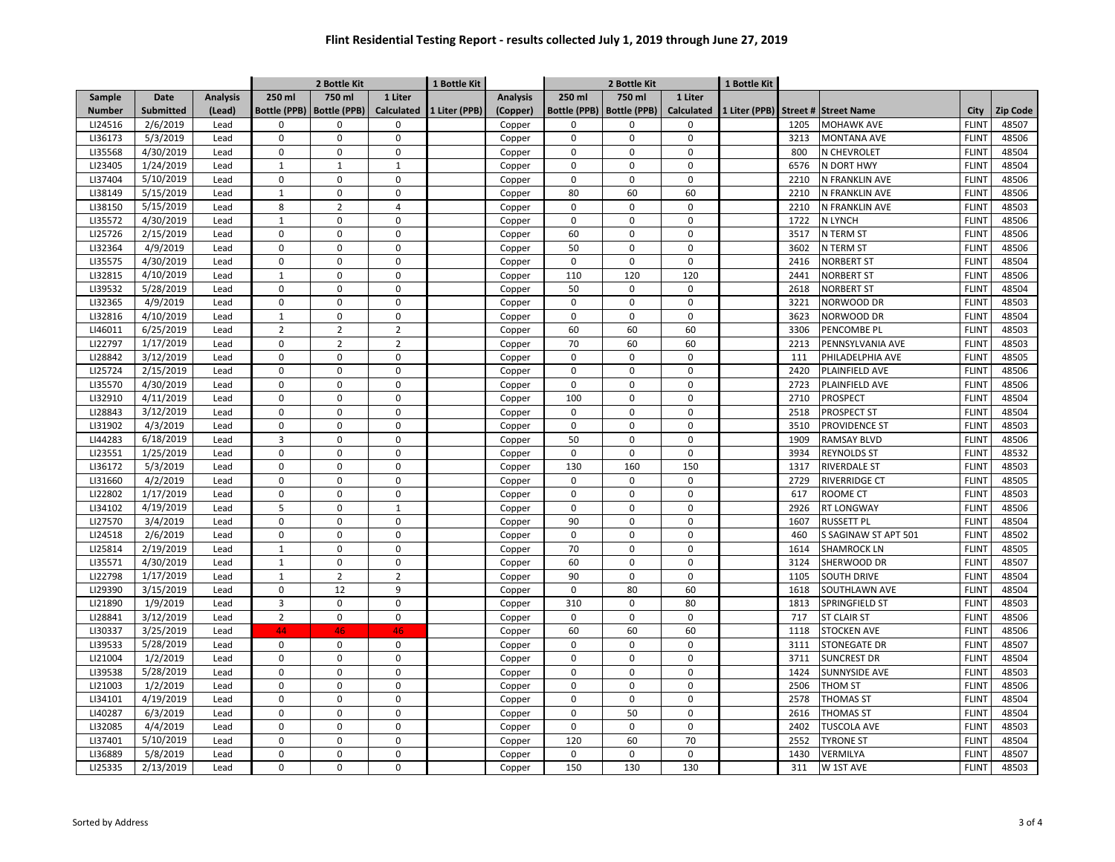|                    |             |                 |                          | 2 Bottle Kit                |                               | 1 Bottle Kit  |                  |                     | 2 Bottle Kit            |                   |               |              |                      |                              |                |
|--------------------|-------------|-----------------|--------------------------|-----------------------------|-------------------------------|---------------|------------------|---------------------|-------------------------|-------------------|---------------|--------------|----------------------|------------------------------|----------------|
| Sample             | <b>Date</b> | <b>Analysis</b> | 250 ml                   | 750 ml                      | 1 Liter                       |               | <b>Analysis</b>  | 250 ml              | 750 ml                  | 1 Liter           |               |              |                      |                              |                |
| <b>Number</b>      | Submitted   | (Lead)          | <b>Bottle (PPB)</b>      | <b>Bottle (PPB)</b>         | <b>Calculated</b>             | 1 Liter (PPB) | (Copper)         | <b>Bottle (PPB)</b> | <b>Bottle (PPB)</b>     | <b>Calculated</b> | 1 Liter (PPB) |              | Street # Street Name | City                         | Zip Code       |
| LI24516            | 2/6/2019    | Lead            | 0                        | $\mathbf 0$                 | $\mathbf 0$                   |               | Copper           | 0                   | 0                       | $\mathbf 0$       |               | 1205         | <b>MOHAWK AVE</b>    | <b>FLINT</b>                 | 48507          |
| LI36173            | 5/3/2019    | Lead            | 0                        | $\mathbf 0$                 | $\mathsf{O}\xspace$           |               | Copper           | $\mathbf 0$         | 0                       | $\mathbf 0$       |               | 3213         | <b>MONTANA AVE</b>   | <b>FLINT</b>                 | 48506          |
| LI35568            | 4/30/2019   | Lead            | 0                        | 0                           | $\mathbf 0$                   |               | Copper           | 0                   | $\mathbf 0$             | $\Omega$          |               | 800          | N CHEVROLET          | <b>FLINT</b>                 | 48504          |
| LI23405            | 1/24/2019   | Lead            | $\mathbf{1}$             | $\mathbf{1}$                | $\mathbf{1}$                  |               | Copper           | 0                   | $\Omega$                | $\Omega$          |               | 6576         | N DORT HWY           | <b>FLINT</b>                 | 48504          |
| LI37404            | 5/10/2019   | Lead            | 0                        | $\Omega$                    | $\mathbf 0$                   |               | Copper           | 0                   | $\Omega$                | $\Omega$          |               | 2210         | N FRANKLIN AVE       | <b>FLINT</b>                 | 48506          |
| LI38149            | 5/15/2019   | Lead            | $\mathbf{1}$             | $\mathbf 0$                 | $\mathbf{0}$                  |               | Copper           | 80                  | 60                      | 60                |               | 2210         | N FRANKLIN AVE       | <b>FLINT</b>                 | 48506          |
| LI38150            | 5/15/2019   | Lead            | 8                        | $\overline{2}$              | $\overline{4}$                |               | Copper           | $\Omega$            | $\mathbf 0$             | $\Omega$          |               | 2210         | N FRANKLIN AVE       | <b>FLINT</b>                 | 48503          |
| LI35572            | 4/30/2019   | Lead            | $\mathbf{1}$             | $\Omega$                    | $\mathbf 0$                   |               | Copper           | $\mathbf 0$         | $\mathbf 0$             | $\Omega$          |               | 1722         | N LYNCH              | <b>FLINT</b>                 | 48506          |
| LI25726            | 2/15/2019   | Lead            | $\Omega$                 | $\pmb{0}$                   | $\Omega$                      |               | Copper           | 60                  | $\Omega$                | $\Omega$          |               | 3517         | N TERM ST            | <b>FLINT</b>                 | 48506          |
| LI32364            | 4/9/2019    | Lead            | $\mathbf 0$              | $\mathsf 0$                 | $\mathbf 0$                   |               | Copper           | 50                  | $\mathbf 0$             | $\Omega$          |               | 3602         | N TERM ST            | <b>FLINT</b>                 | 48506          |
| LI35575            | 4/30/2019   | Lead            | $\Omega$                 | $\Omega$                    | $\mathbf 0$                   |               | Copper           | 0                   | $\Omega$                | $\Omega$          |               | 2416         | <b>NORBERT ST</b>    | <b>FLINT</b>                 | 48504          |
| LI32815            | 4/10/2019   | Lead            | $\mathbf{1}$             | 0                           | $\mathbf 0$                   |               | Copper           | 110                 | 120                     | 120               |               | 2441         | <b>NORBERT ST</b>    | <b>FLINT</b>                 | 48506          |
| LI39532            | 5/28/2019   | Lead            | 0                        | $\mathbf 0$                 | $\mathbf{0}$                  |               | Copper           | 50                  | $\Omega$                | $\Omega$          |               | 2618         | <b>NORBERT ST</b>    | <b>FLINT</b>                 | 48504          |
| LI32365            | 4/9/2019    | Lead            | 0                        | $\pmb{0}$                   | $\mathbf{0}$                  |               | Copper           | $\mathbf 0$         | $\mathbf 0$             | $\mathbf 0$       |               | 3221         | NORWOOD DR           | <b>FLINT</b>                 | 48503          |
| LI32816            | 4/10/2019   | Lead            | $\mathbf{1}$             | $\pmb{0}$                   | $\pmb{0}$                     |               | Copper           | $\mathbf 0$         | $\mathbf 0$             | $\mathbf 0$       |               | 3623         | NORWOOD DR           | <b>FLINT</b>                 | 48504          |
| LI46011            | 6/25/2019   | Lead            | $\overline{2}$           | $\overline{2}$              | $\overline{2}$                |               | Copper           | 60                  | 60                      | 60                |               | 3306         | PENCOMBE PL          | <b>FLINT</b>                 | 48503          |
| LI22797            | 1/17/2019   | Lead            | 0                        | $\overline{2}$              | $\overline{2}$                |               | Copper           | 70                  | 60                      | 60                |               | 2213         | PENNSYLVANIA AVE     | <b>FLINT</b>                 | 48503          |
| LI28842            | 3/12/2019   | Lead            | 0                        | $\mathsf 0$                 | $\mathbf 0$                   |               | Copper           | 0                   | $\mathbf 0$             | $\mathbf 0$       |               | 111          | PHILADELPHIA AVE     | <b>FLINT</b>                 | 48505          |
| LI25724            | 2/15/2019   | Lead            | 0                        | $\mathbf 0$                 | $\mathbf 0$                   |               | Copper           | 0                   | $\Omega$                | $\Omega$          |               | 2420         | PLAINFIELD AVE       | <b>FLINT</b>                 | 48506          |
| LI35570            | 4/30/2019   | Lead            | $\Omega$                 | $\Omega$                    | $\mathbf{0}$                  |               | Copper           | $\Omega$            | $\mathbf 0$             | $\Omega$          |               | 2723         | PLAINFIELD AVE       | <b>FLINT</b>                 | 48506          |
| LI32910            | 4/11/2019   | Lead            | $\Omega$                 | $\Omega$                    | $\mathbf 0$                   |               | Copper           | 100                 | $\mathbf 0$             | $\Omega$          |               | 2710         | PROSPECT             | <b>FLINT</b>                 | 48504          |
| LI28843            | 3/12/2019   | Lead            | $\mathbf 0$              | $\Omega$                    | $\mathbf{0}$                  |               | Copper           | $\mathbf 0$         | $\mathbf 0$             | $\Omega$          |               | 2518         | PROSPECT ST          | <b>FLINT</b>                 | 48504          |
| LI31902            | 4/3/2019    | Lead            | $\mathbf 0$              | $\Omega$                    | $\mathbf 0$                   |               | Copper           | $\mathbf 0$         | $\mathbf 0$             | $\Omega$          |               | 3510         | PROVIDENCE ST        | <b>FLINT</b>                 | 48503          |
| LI44283            | 6/18/2019   | Lead            | 3                        | $\Omega$                    | $\mathbf 0$                   |               | Copper           | 50                  | $\Omega$                | $\Omega$          |               | 1909         | <b>RAMSAY BLVD</b>   | <b>FLINT</b>                 | 48506          |
| LI23551            | 1/25/2019   | Lead            | $\mathbf 0$              | $\mathbf 0$                 | $\mathbf{0}$                  |               | Copper           | $\mathsf 0$         | $\mathbf 0$             | $\Omega$          |               | 3934         | <b>REYNOLDS ST</b>   | <b>FLINT</b>                 | 48532          |
| LI36172            | 5/3/2019    | Lead            | 0                        | $\mathbf 0$                 | $\mathbf{0}$                  |               | Copper           | 130                 | 160                     | 150               |               | 1317         | <b>RIVERDALE ST</b>  | <b>FLINT</b>                 | 48503          |
| LI31660            | 4/2/2019    | Lead            | 0                        | 0                           | $\mathbf 0$                   |               |                  | 0                   | 0                       | $\Omega$          |               | 2729         | <b>RIVERRIDGE CT</b> | <b>FLINT</b>                 | 48505          |
| LI22802            | 1/17/2019   | Lead            | 0                        | $\mathbf 0$                 | $\mathbf{0}$                  |               | Copper<br>Copper | $\mathbf 0$         | $\Omega$                | $\Omega$          |               | 617          | <b>ROOME CT</b>      | <b>FLINT</b>                 | 48503          |
| LI34102            | 4/19/2019   | Lead            | 5                        | $\mathbf 0$                 | $\mathbf{1}$                  |               |                  | $\mathbf 0$         | $\mathbf 0$             | $\mathbf 0$       |               | 2926         | <b>RT LONGWAY</b>    | <b>FLINT</b>                 | 48506          |
| LI27570            | 3/4/2019    | Lead            | 0                        | $\mathbf 0$                 | $\mathbf 0$                   |               | Copper           | 90                  | $\mathbf 0$             | $\mathbf 0$       |               | 1607         | <b>RUSSETT PL</b>    | <b>FLINT</b>                 | 48504          |
| LI24518            | 2/6/2019    | Lead            | 0                        | $\pmb{0}$                   | $\mathbf 0$                   |               | Copper           | $\mathbf 0$         | $\mathbf 0$             | $\mathbf 0$       |               | 460          |                      | <b>FLINT</b>                 | 48502          |
| LI25814            | 2/19/2019   | Lead            |                          | $\mathbf 0$                 | $\mathbf 0$                   |               | Copper           | 70                  | $\mathbf 0$             | $\mathbf 0$       |               | 1614         | S SAGINAW ST APT 501 | <b>FLINT</b>                 |                |
|                    |             |                 | $\mathbf{1}$             |                             |                               |               | Copper           |                     |                         | $\Omega$          |               |              | <b>SHAMROCK LN</b>   |                              | 48505          |
| LI35571<br>LI22798 | 4/30/2019   | Lead            | $\mathbf{1}$             | $\pmb{0}$<br>$\overline{2}$ | $\mathbf 0$<br>$\overline{2}$ |               | Copper           | 60<br>90            | $\mathbf 0$<br>$\Omega$ | $\Omega$          |               | 3124<br>1105 | SHERWOOD DR          | <b>FLINT</b>                 | 48507<br>48504 |
| LI29390            | 1/17/2019   | Lead            | $\mathbf{1}$<br>$\Omega$ | 12                          | 9                             |               | Copper           | $\mathbf 0$         | 80                      | 60                |               |              | <b>SOUTH DRIVE</b>   | <b>FLINT</b><br><b>FLINT</b> | 48504          |
|                    | 3/15/2019   | Lead            | $\overline{3}$           | $\Omega$                    |                               |               | Copper           | 310                 |                         | 80                |               | 1618         | SOUTHLAWN AVE        |                              |                |
| LI21890            | 1/9/2019    | Lead            |                          |                             | $\mathbf 0$                   |               | Copper           |                     | $\mathbf 0$<br>$\Omega$ | $\Omega$          |               | 1813         | SPRINGFIELD ST       | <b>FLINT</b>                 | 48503          |
| LI28841            | 3/12/2019   | Lead            | $\overline{2}$           | $\pmb{0}$                   | $\mathbf 0$                   |               | Copper           | $\mathsf 0$         |                         |                   |               | 717          | <b>ST CLAIR ST</b>   | <b>FLINT</b>                 | 48506          |
| LI30337            | 3/25/2019   | Lead            | 44                       | 46                          | 46                            |               | Copper           | 60                  | 60                      | 60                |               | 1118         | <b>STOCKEN AVE</b>   | <b>FLINT</b>                 | 48506          |
| LI39533            | 5/28/2019   | Lead            | 0                        | $\mathsf 0$                 | $\mathsf 0$                   |               | Copper           | 0                   | $\Omega$                | $\Omega$          |               | 3111         | <b>STONEGATE DR</b>  | <b>FLINT</b>                 | 48507          |
| LI21004            | 1/2/2019    | Lead            | $\mathbf 0$              | $\mathbf 0$                 | $\mathbf{0}$                  |               | Copper           | $\mathbf 0$         | $\mathbf 0$             | $\Omega$          |               | 3711         | <b>SUNCREST DR</b>   | <b>FLINT</b>                 | 48504          |
| LI39538            | 5/28/2019   | Lead            | $\Omega$                 | $\mathbf 0$                 | $\mathbf{0}$                  |               | Copper           | $\mathbf 0$         | $\mathbf 0$             | $\Omega$          |               | 1424         | SUNNYSIDE AVE        | <b>FLINT</b>                 | 48503          |
| LI21003            | 1/2/2019    | Lead            | $\mathbf 0$              | $\mathsf 0$                 | $\mathbf 0$                   |               | Copper           | $\mathbf 0$         | $\mathbf 0$             | $\Omega$          |               | 2506         | THOM ST              | <b>FLINT</b>                 | 48506          |
| LI34101            | 4/19/2019   | Lead            | 0                        | $\mathbf 0$                 | $\mathbf{0}$                  |               | Copper           | $\mathbf 0$         | $\Omega$                | $\Omega$          |               | 2578         | <b>THOMAS ST</b>     | <b>FLINT</b>                 | 48504          |
| LI40287            | 6/3/2019    | Lead            | 0                        | $\mathbf 0$                 | $\mathbf{0}$                  |               | Copper           | $\mathbf 0$         | 50                      | $\mathbf 0$       |               | 2616         | <b>THOMAS ST</b>     | <b>FLINT</b>                 | 48504          |
| LI32085            | 4/4/2019    | Lead            | 0                        | $\mathbf 0$                 | $\mathbf 0$                   |               | Copper           | $\mathbf 0$         | $\mathbf 0$             | $\mathbf 0$       |               | 2402         | <b>TUSCOLA AVE</b>   | <b>FLINT</b>                 | 48503          |
| LI37401            | 5/10/2019   | Lead            | 0                        | $\pmb{0}$                   | $\mathbf 0$                   |               | Copper           | 120                 | 60                      | 70                |               | 2552         | <b>TYRONE ST</b>     | <b>FLINT</b>                 | 48504          |
| LI36889            | 5/8/2019    | Lead            | 0                        | $\mathbf 0$                 | $\mathbf 0$                   |               | Copper           | 0                   | $\mathbf 0$             | $\Omega$          |               | 1430         | <b>VERMILYA</b>      | <b>FLINT</b>                 | 48507          |
| LI25335            | 2/13/2019   | Lead            | 0                        | $\mathbf 0$                 | $\mathbf 0$                   |               | Copper           | 150                 | 130                     | 130               |               | 311          | W 1ST AVE            | <b>FLINT</b>                 | 48503          |